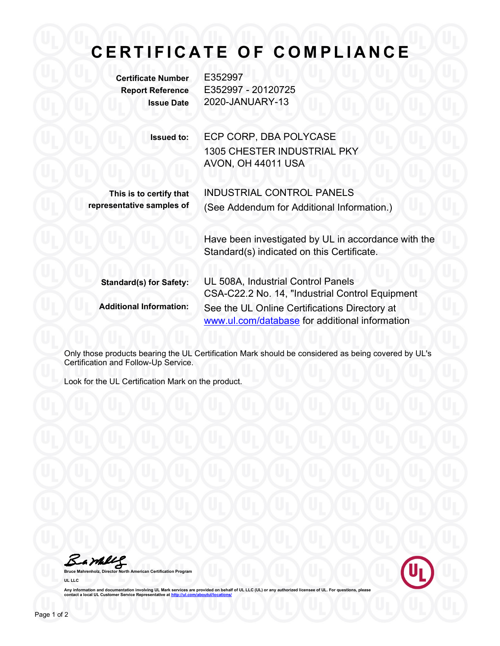## CERTIFICATE OF COMPLIANCE

Certificate Number E352997

Report Reference E352997 - 20120725 Issue Date 2020-JANUARY-13

> Issued to: ECP CORP, DBA POLYCASE 1305 CHESTER INDUSTRIAL PKY AVON, OH 44011 USA

> > INDUSTRIAL CONTROL PANELS

(See Addendum for Additional Information.)

This is to certify that representative samples of

> Have been investigated by UL in accordance with the Standard(s) indicated on this Certificate.

| <b>Standard(s) for Safety:</b> | UL 508A, Industrial Control Panels                                                              |
|--------------------------------|-------------------------------------------------------------------------------------------------|
|                                | CSA-C22.2 No. 14, "Industrial Control Equipment                                                 |
| <b>Additional Information:</b> | See the UL Online Certifications Directory at<br>www.ul.com/database for additional information |

Only those products bearing the UL Certification Mark should be considered as being covered by UL's Certification and Follow-Up Service.

Look for the UL Certification Mark on the product.

Barkley

th American Certification Program UL LLC



Any information and documentation involving UL Mark services are provided on behalf of UL LLC (UL) or any authorized licensee of UL. For questions, please<br>contact a local UL Customer Service Representative at <u>http://ul.co</u>